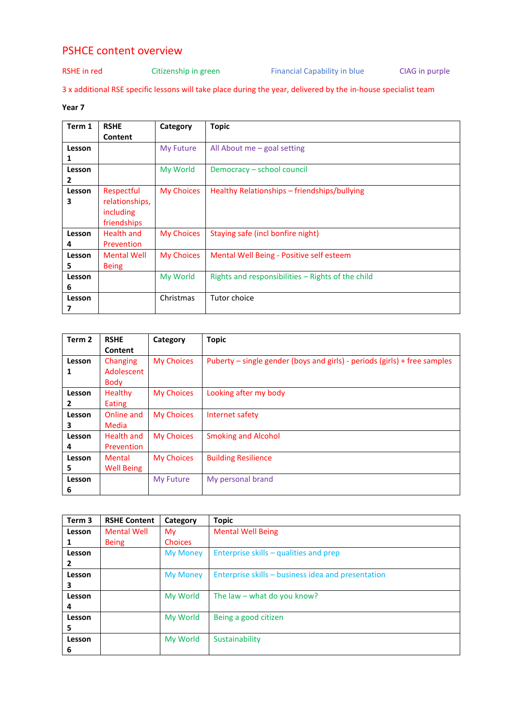## PSHCE content overview

## RSHE in red Citizenship in green Financial Capability in blue CIAG in purple

3 x additional RSE specific lessons will take place during the year, delivered by the in-house specialist team

## **Year 7**

| Term 1 | <b>RSHE</b>        | Category          | <b>Topic</b>                                      |
|--------|--------------------|-------------------|---------------------------------------------------|
|        | Content            |                   |                                                   |
| Lesson |                    | My Future         | All About me $-$ goal setting                     |
| 1      |                    |                   |                                                   |
| Lesson |                    | My World          | Democracy – school council                        |
| 2      |                    |                   |                                                   |
| Lesson | Respectful         | <b>My Choices</b> | Healthy Relationships – friendships/bullying      |
| З      | relationships,     |                   |                                                   |
|        | including          |                   |                                                   |
|        | friendships        |                   |                                                   |
| Lesson | Health and         | <b>My Choices</b> | Staying safe (incl bonfire night)                 |
| 4      | Prevention         |                   |                                                   |
| Lesson | <b>Mental Well</b> | <b>My Choices</b> | Mental Well Being - Positive self esteem          |
| 5      | <b>Being</b>       |                   |                                                   |
| Lesson |                    | My World          | Rights and responsibilities – Rights of the child |
| 6      |                    |                   |                                                   |
| Lesson |                    | Christmas         | Tutor choice                                      |
| 7      |                    |                   |                                                   |

| Term <sub>2</sub> | <b>RSHE</b>       | Category          | <b>Topic</b>                                                              |
|-------------------|-------------------|-------------------|---------------------------------------------------------------------------|
|                   | Content           |                   |                                                                           |
| Lesson            | Changing          | <b>My Choices</b> | Puberty – single gender (boys and girls) - periods (girls) + free samples |
| 1                 | Adolescent        |                   |                                                                           |
|                   | <b>Body</b>       |                   |                                                                           |
| Lesson            | <b>Healthy</b>    | <b>My Choices</b> | Looking after my body                                                     |
| 2                 | Eating            |                   |                                                                           |
| Lesson            | Online and        | <b>My Choices</b> | Internet safety                                                           |
| 3                 | Media             |                   |                                                                           |
| Lesson            | <b>Health and</b> | <b>My Choices</b> | <b>Smoking and Alcohol</b>                                                |
| 4                 | Prevention        |                   |                                                                           |
| Lesson            | Mental            | <b>My Choices</b> | <b>Building Resilience</b>                                                |
| 5                 | <b>Well Being</b> |                   |                                                                           |
| Lesson            |                   | <b>My Future</b>  | My personal brand                                                         |
| 6                 |                   |                   |                                                                           |

| Term <sub>3</sub> | <b>RSHE Content</b> | Category        | <b>Topic</b>                                       |
|-------------------|---------------------|-----------------|----------------------------------------------------|
| Lesson            | <b>Mental Well</b>  | Mv              | <b>Mental Well Being</b>                           |
|                   | <b>Being</b>        | <b>Choices</b>  |                                                    |
| Lesson            |                     | <b>My Money</b> | Enterprise skills – qualities and prep             |
| 2                 |                     |                 |                                                    |
| Lesson            |                     | <b>My Money</b> | Enterprise skills – business idea and presentation |
| з                 |                     |                 |                                                    |
| Lesson            |                     | My World        | The law – what do you know?                        |
| 4                 |                     |                 |                                                    |
| Lesson            |                     | My World        | Being a good citizen                               |
| 5.                |                     |                 |                                                    |
| Lesson            |                     | My World        | Sustainability                                     |
| 6                 |                     |                 |                                                    |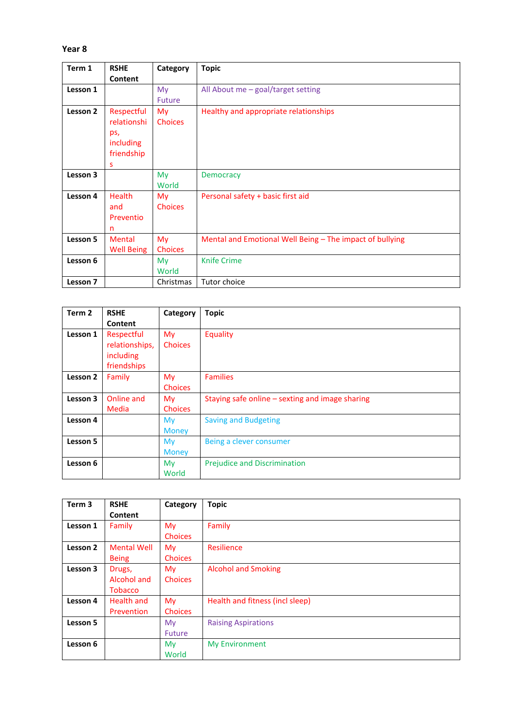## **Year 8**

| Term 1   | <b>RSHE</b>       | Category       | <b>Topic</b>                                             |
|----------|-------------------|----------------|----------------------------------------------------------|
|          | Content           |                |                                                          |
| Lesson 1 |                   | My             | All About me - goal/target setting                       |
|          |                   | Future         |                                                          |
| Lesson 2 | Respectful        | My             | Healthy and appropriate relationships                    |
|          | relationshi       | <b>Choices</b> |                                                          |
|          | ps,               |                |                                                          |
|          | including         |                |                                                          |
|          | friendship        |                |                                                          |
|          | s                 |                |                                                          |
| Lesson 3 |                   | My             | <b>Democracy</b>                                         |
|          |                   | World          |                                                          |
| Lesson 4 | <b>Health</b>     | My             | Personal safety + basic first aid                        |
|          | and               | <b>Choices</b> |                                                          |
|          | Preventio         |                |                                                          |
|          | n                 |                |                                                          |
| Lesson 5 | <b>Mental</b>     | My             | Mental and Emotional Well Being – The impact of bullying |
|          | <b>Well Being</b> | <b>Choices</b> |                                                          |
| Lesson 6 |                   | My             | <b>Knife Crime</b>                                       |
|          |                   | World          |                                                          |
| Lesson 7 |                   | Christmas      | Tutor choice                                             |

| Term 2   | <b>RSHE</b>    | Category       | <b>Topic</b>                                    |
|----------|----------------|----------------|-------------------------------------------------|
|          | Content        |                |                                                 |
| Lesson 1 | Respectful     | My             | Equality                                        |
|          | relationships, | <b>Choices</b> |                                                 |
|          | including      |                |                                                 |
|          | friendships    |                |                                                 |
| Lesson 2 | Family         | My             | <b>Families</b>                                 |
|          |                | Choices        |                                                 |
| Lesson 3 | Online and     | My             | Staying safe online - sexting and image sharing |
|          | Media          | <b>Choices</b> |                                                 |
| Lesson 4 |                | My             | <b>Saving and Budgeting</b>                     |
|          |                | <b>Money</b>   |                                                 |
| Lesson 5 |                | <b>My</b>      | Being a clever consumer                         |
|          |                | <b>Money</b>   |                                                 |
| Lesson 6 |                | My             | Prejudice and Discrimination                    |
|          |                | World          |                                                 |

| Term <sub>3</sub> | <b>RSHE</b><br>Content                         | Category                    | <b>Topic</b>                    |
|-------------------|------------------------------------------------|-----------------------------|---------------------------------|
| Lesson 1          | Family                                         | <b>My</b><br><b>Choices</b> | Family                          |
| Lesson 2          | <b>Mental Well</b><br><b>Being</b>             | <b>My</b><br><b>Choices</b> | Resilience                      |
| Lesson 3          | Drugs,<br><b>Alcohol and</b><br><b>Tobacco</b> | My.<br><b>Choices</b>       | <b>Alcohol and Smoking</b>      |
| Lesson 4          | Health and<br>Prevention                       | My<br><b>Choices</b>        | Health and fitness (incl sleep) |
| Lesson 5          |                                                | My.<br>Future               | <b>Raising Aspirations</b>      |
| Lesson 6          |                                                | <b>My</b><br>World          | <b>My Environment</b>           |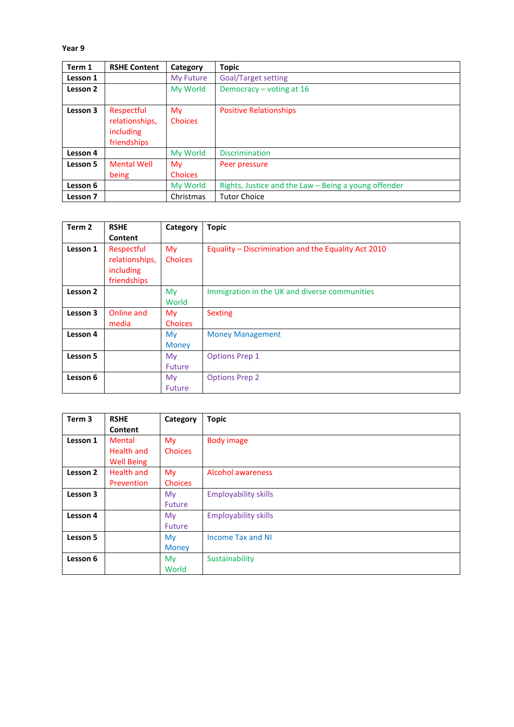**Year 9**

| Term 1   | <b>RSHE Content</b>                                      | Category              | <b>Topic</b>                                         |
|----------|----------------------------------------------------------|-----------------------|------------------------------------------------------|
| Lesson 1 |                                                          | My Future             | Goal/Target setting                                  |
| Lesson 2 |                                                          | My World              | Democracy – voting at $16$                           |
| Lesson 3 | Respectful<br>relationships,<br>including<br>friendships | My.<br><b>Choices</b> | <b>Positive Relationships</b>                        |
| Lesson 4 |                                                          | My World              | <b>Discrimination</b>                                |
| Lesson 5 | <b>Mental Well</b><br>being                              | My.<br><b>Choices</b> | Peer pressure                                        |
| Lesson 6 |                                                          | My World              | Rights, Justice and the Law - Being a young offender |
| Lesson 7 |                                                          | Christmas             | <b>Tutor Choice</b>                                  |

| Term 2   | <b>RSHE</b>                                              | Category                       | <b>Topic</b>                                        |
|----------|----------------------------------------------------------|--------------------------------|-----------------------------------------------------|
|          | Content                                                  |                                |                                                     |
| Lesson 1 | Respectful<br>relationships,<br>including<br>friendships | My.<br><b>Choices</b>          | Equality – Discrimination and the Equality Act 2010 |
| Lesson 2 |                                                          | My<br>World                    | Immigration in the UK and diverse communities       |
| Lesson 3 | Online and<br>media                                      | My.<br><b>Choices</b>          | <b>Sexting</b>                                      |
| Lesson 4 |                                                          | M <sub>V</sub><br><b>Money</b> | <b>Money Management</b>                             |
| Lesson 5 |                                                          | My.<br><b>Future</b>           | <b>Options Prep 1</b>                               |
| Lesson 6 |                                                          | My.<br><b>Future</b>           | <b>Options Prep 2</b>                               |

| Term <sub>3</sub> | <b>RSHE</b>       | Category       | <b>Topic</b>                |
|-------------------|-------------------|----------------|-----------------------------|
|                   | Content           |                |                             |
| Lesson 1          | Mental            | My             | <b>Body image</b>           |
|                   | <b>Health and</b> | <b>Choices</b> |                             |
|                   | <b>Well Being</b> |                |                             |
| Lesson 2          | <b>Health and</b> | My             | <b>Alcohol awareness</b>    |
|                   | Prevention        | <b>Choices</b> |                             |
| Lesson 3          |                   | My             | <b>Employability skills</b> |
|                   |                   | Future         |                             |
| Lesson 4          |                   | My.            | <b>Employability skills</b> |
|                   |                   | <b>Future</b>  |                             |
| Lesson 5          |                   | <b>My</b>      | <b>Income Tax and NI</b>    |
|                   |                   | <b>Money</b>   |                             |
| Lesson 6          |                   | My.            | Sustainability              |
|                   |                   | World          |                             |